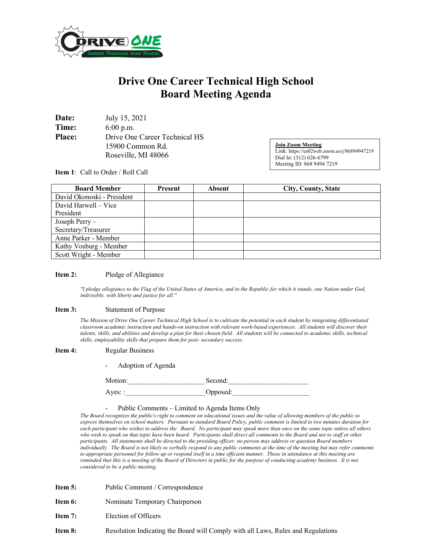

# **Drive One Career Technical High School Board Meeting Agenda**

| Date:         | July 15, 2021                 |
|---------------|-------------------------------|
| Time:         | $6:00$ p.m.                   |
| <b>Place:</b> | Drive One Career Technical HS |
|               | 15900 Common Rd.              |
|               | Roseville, MI 48066           |

**Join Zoom Meeting** Link: https://us02web.zoom.us/j/86894947219 Dial In: (312) 626-6799 Meeting ID: 868 9494 7219

**Item 1**: Call to Order / Roll Call

| <b>Board Member</b>        | Present | <b>Absent</b> | City, County, State |
|----------------------------|---------|---------------|---------------------|
| David Okonoski - President |         |               |                     |
| David Harwell – Vice       |         |               |                     |
| President                  |         |               |                     |
| Joseph Perry -             |         |               |                     |
| Secretary/Treasurer        |         |               |                     |
| Anne Parker - Member       |         |               |                     |
| Kathy Vosburg - Member     |         |               |                     |
| Scott Wright - Member      |         |               |                     |

### **Item 2:** Pledge of Allegiance

*"I pledge allegiance to the Flag of the United States of America, and to the Republic for which it stands, one Nation under God, indivisible, with liberty and justice for all."* 

#### **Item 3:** Statement of Purpose

*The Mission of Drive One Career Technical High School is to cultivate the potential in each student by integrating differentiated classroom academic instruction and hands-on instruction with relevant work-based experiences. All students will discover their talents, skills, and abilities and develop a plan for their chosen field. All students will be connected to academic skills, technical skills, employability skills that prepare them for post- secondary success.*

#### **Item 4:** Regular Business

- Adoption of Agenda

Motion: Second: Ayes: : <br> Opposed:

## Public Comments – Limited to Agenda Items Only

*The Board recognizes the public's right to comment on educational issues and the value of allowing members of the public to express themselves on school matters. Pursuant to standard Board Policy, public comment is limited to two minutes duration for each participant who wishes to address the Board. No participant may speak more than once on the same topic unless all others who wish to speak on that topic have been heard. Participants shall direct all comments to the Board and not to staff or other participants. All statements shall be directed to the presiding officer; no person may address or question Board members individually. The Board is not likely to verbally respond to any public comments at the time of the meeting but may refer comments to appropriate personnel for follow up or respond itself in a time efficient manner. Those in attendance at this meeting are reminded that this is a meeting of the Board of Directors in public for the purpose of conducting academy business. It is not considered to be a public meeting.*

- **Item 5:** Public Comment / Correspondence
- **Item 6:** Nominate Temporary Chairperson
- **Item 7:** Election of Officers
- **Item 8:** Resolution Indicating the Board will Comply with all Laws, Rules and Regulations